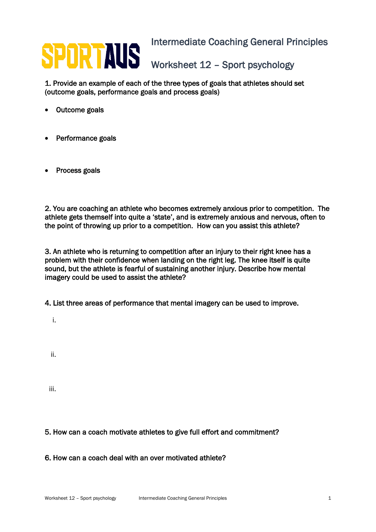## SPORTAUS Intermediate Coaching General Principles Worksheet 12 – Sport psychology

1. Provide an example of each of the three types of goals that athletes should set (outcome goals, performance goals and process goals)

- Outcome goals
- Performance goals
- Process goals

2. You are coaching an athlete who becomes extremely anxious prior to competition. The athlete gets themself into quite a 'state', and is extremely anxious and nervous, often to the point of throwing up prior to a competition. How can you assist this athlete?

3. An athlete who is returning to competition after an injury to their right knee has a problem with their confidence when landing on the right leg. The knee itself is quite sound, but the athlete is fearful of sustaining another injury. Describe how mental imagery could be used to assist the athlete?

4. List three areas of performance that mental imagery can be used to improve.

i.

ii.

iii.

## 5. How can a coach motivate athletes to give full effort and commitment?

6. How can a coach deal with an over motivated athlete?